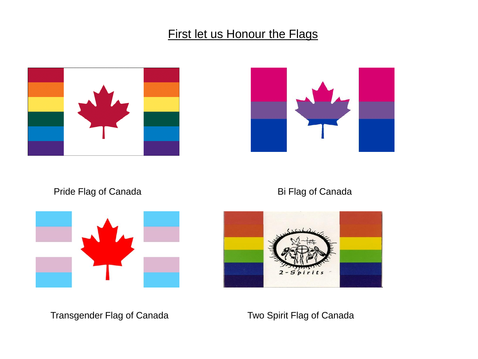#### **First let us Honour the Flags**





Pride Flag of Canada Bi Flag of Canada





Transgender Flag of Canada Two Spirit Flag of Canada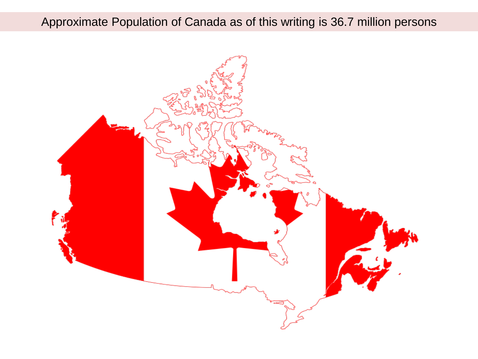### Approximate Population of Canada as of this writing is 36.7 million persons

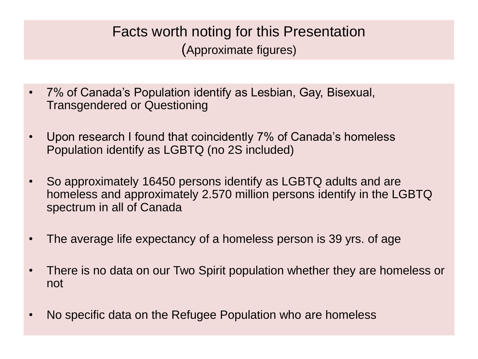## Facts worth noting for this Presentation (Approximate figures)

- 7% of Canada's Population identify as Lesbian, Gay, Bisexual, Transgendered or Questioning
- Upon research I found that coincidently 7% of Canada's homeless Population identify as LGBTQ (no 2S included)
- So approximately 16450 persons identify as LGBTQ adults and are homeless and approximately 2.570 million persons identify in the LGBTQ spectrum in all of Canada
- The average life expectancy of a homeless person is 39 yrs. of age
- There is no data on our Two Spirit population whether they are homeless or not
- No specific data on the Refugee Population who are homeless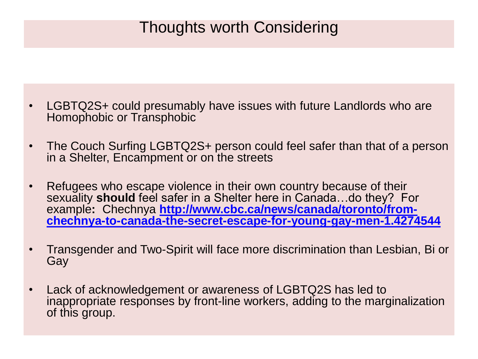## Thoughts worth Considering

- LGBTQ2S+ could presumably have issues with future Landlords who are Homophobic or Transphobic
- The Couch Surfing LGBTQ2S+ person could feel safer than that of a person in a Shelter, Encampment or on the streets
- Refugees who escape violence in their own country because of their sexuality **should** feel safer in a Shelter here in Canada…do they? For example**:** Chechnya **http://www.cbc.ca/news/canada/toronto/from[chechnya-to-canada-the-secret-escape-for-young-gay-men-1.4274544](http://www.cbc.ca/news/canada/toronto/from-chechnya-to-canada-the-secret-escape-for-young-gay-men-1.4274544)**
- Transgender and Two-Spirit will face more discrimination than Lesbian, Bi or Gay
- Lack of acknowledgement or awareness of LGBTQ2S has led to inappropriate responses by front-line workers, adding to the marginalization of this group.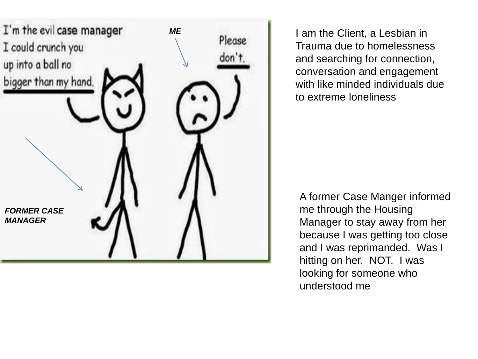

I am the Client, a Lesbian in Trauma due to homelessness and searching for connection, conversation and engagement with like minded individuals due to extreme loneliness

A former Case Manger informed me through the Housing Manager to stay away from her because I was getting too close and I was reprimanded. Was I hitting on her. NOT. I was looking for someone who understood me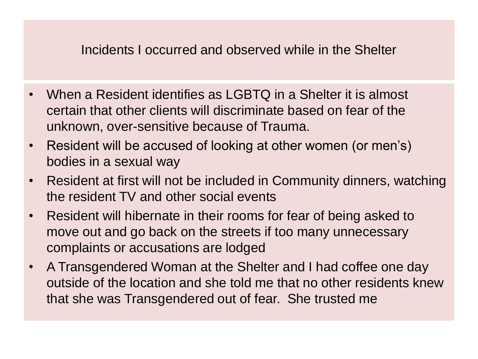### Incidents I occurred and observed while in the Shelter

- When a Resident identifies as LGBTQ in a Shelter it is almost certain that other clients will discriminate based on fear of the unknown, over-sensitive because of Trauma.
- Resident will be accused of looking at other women (or men's) bodies in a sexual way
- Resident at first will not be included in Community dinners, watching the resident TV and other social events
- Resident will hibernate in their rooms for fear of being asked to move out and go back on the streets if too many unnecessary complaints or accusations are lodged
- A Transgendered Woman at the Shelter and I had coffee one day outside of the location and she told me that no other residents knew that she was Transgendered out of fear. She trusted me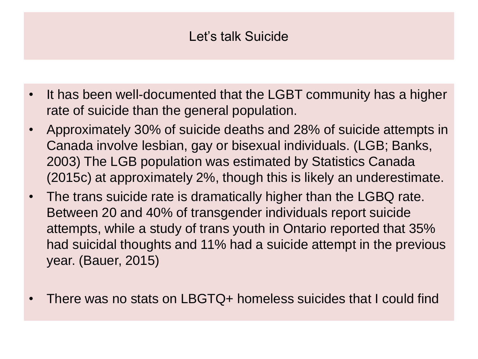## Let's talk Suicide

- It has been well-documented that the LGBT community has a higher rate of suicide than the general population.
- Approximately 30% of suicide deaths and 28% of suicide attempts in Canada involve lesbian, gay or bisexual individuals. (LGB; Banks, 2003) The LGB population was estimated by Statistics Canada (2015c) at approximately 2%, though this is likely an underestimate.
- The trans suicide rate is dramatically higher than the LGBQ rate. Between 20 and 40% of transgender individuals report suicide attempts, while a study of trans youth in Ontario reported that 35% had suicidal thoughts and 11% had a suicide attempt in the previous year. (Bauer, 2015)
- There was no stats on LBGTQ+ homeless suicides that I could find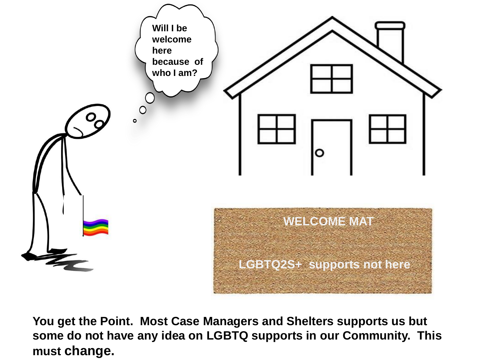

**You get the Point. Most Case Managers and Shelters supports us but some do not have any idea on LGBTQ supports in our Community. This must change.**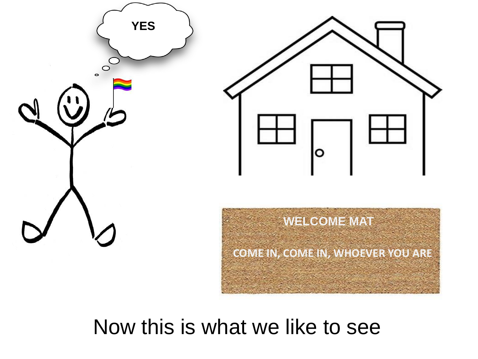

## Now this is what we like to see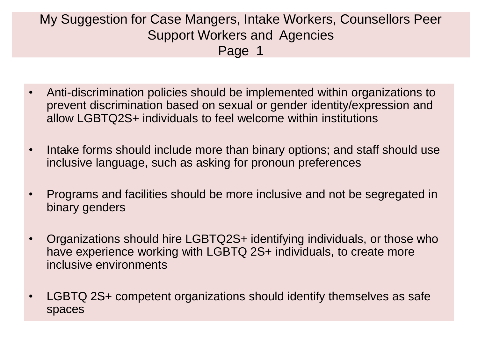### My Suggestion for Case Mangers, Intake Workers, Counsellors Peer Support Workers and Agencies Page 1

- Anti-discrimination policies should be implemented within organizations to prevent discrimination based on sexual or gender identity/expression and allow LGBTQ2S+ individuals to feel welcome within institutions
- Intake forms should include more than binary options; and staff should use inclusive language, such as asking for pronoun preferences
- Programs and facilities should be more inclusive and not be segregated in binary genders
- Organizations should hire LGBTQ2S+ identifying individuals, or those who have experience working with LGBTQ 2S+ individuals, to create more inclusive environments
- LGBTQ 2S+ competent organizations should identify themselves as safe spaces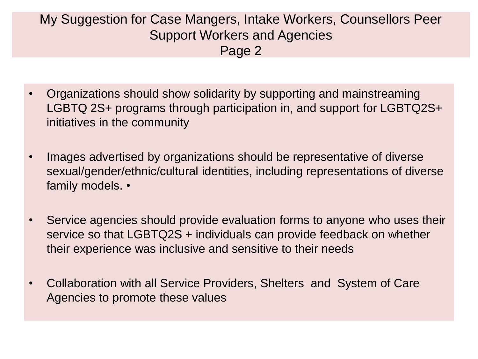### My Suggestion for Case Mangers, Intake Workers, Counsellors Peer Support Workers and Agencies Page 2

- Organizations should show solidarity by supporting and mainstreaming LGBTQ 2S+ programs through participation in, and support for LGBTQ2S+ initiatives in the community
- Images advertised by organizations should be representative of diverse sexual/gender/ethnic/cultural identities, including representations of diverse family models. •
- Service agencies should provide evaluation forms to anyone who uses their service so that LGBTQ2S + individuals can provide feedback on whether their experience was inclusive and sensitive to their needs
- Collaboration with all Service Providers, Shelters and System of Care Agencies to promote these values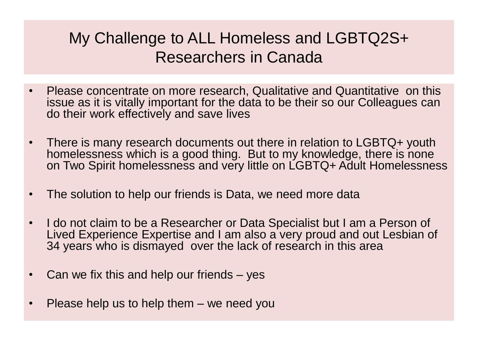## My Challenge to ALL Homeless and LGBTQ2S+ Researchers in Canada

- Please concentrate on more research, Qualitative and Quantitative on this issue as it is vitally important for the data to be their so our Colleagues can do their work effectively and save lives
- There is many research documents out there in relation to LGBTQ+ youth homelessness which is a good thing. But to my knowledge, there is none on Two Spirit homelessness and very little on LGBTQ+ Adult Homelessness
- The solution to help our friends is Data, we need more data
- I do not claim to be a Researcher or Data Specialist but I am a Person of Lived Experience Expertise and I am also a very proud and out Lesbian of 34 years who is dismayed over the lack of research in this area
- Can we fix this and help our friends yes
- Please help us to help them  $-$  we need you